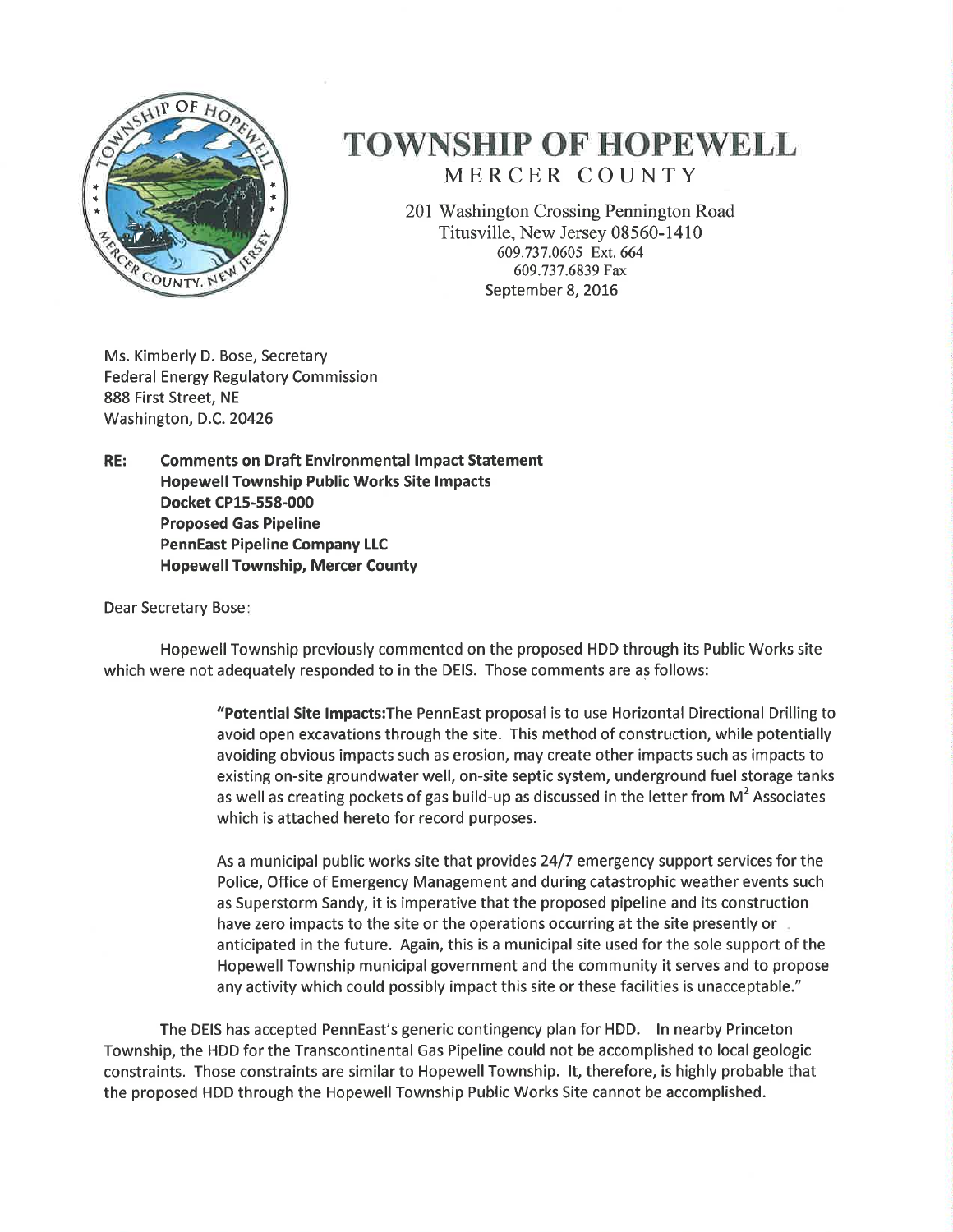

## **TOWNSHIP OF HOPEWELL** MERCER COUNTY

201 Washington Crossing Pennington Road Titusville, New Jersey 08560-1410 609.737.0605 Ext. 664 609.737.6839 Fax September 8, 2016

Ms. Kimberly D. Bose, Secretary **Federal Energy Regulatory Commission** 888 First Street, NE Washington, D.C. 20426

RE: **Comments on Draft Environmental Impact Statement Hopewell Township Public Works Site Impacts** Docket CP15-558-000 **Proposed Gas Pipeline PennEast Pipeline Company LLC Hopewell Township, Mercer County** 

**Dear Secretary Bose:** 

Hopewell Township previously commented on the proposed HDD through its Public Works site which were not adequately responded to in the DEIS. Those comments are as follows:

> "Potential Site Impacts: The PennEast proposal is to use Horizontal Directional Drilling to avoid open excavations through the site. This method of construction, while potentially avoiding obvious impacts such as erosion, may create other impacts such as impacts to existing on-site groundwater well, on-site septic system, underground fuel storage tanks as well as creating pockets of gas build-up as discussed in the letter from  $M^2$  Associates which is attached hereto for record purposes.

> As a municipal public works site that provides 24/7 emergency support services for the Police, Office of Emergency Management and during catastrophic weather events such as Superstorm Sandy, it is imperative that the proposed pipeline and its construction have zero impacts to the site or the operations occurring at the site presently or anticipated in the future. Again, this is a municipal site used for the sole support of the Hopewell Township municipal government and the community it serves and to propose any activity which could possibly impact this site or these facilities is unacceptable."

The DEIS has accepted PennEast's generic contingency plan for HDD. In nearby Princeton Township, the HDD for the Transcontinental Gas Pipeline could not be accomplished to local geologic constraints. Those constraints are similar to Hopewell Township. It, therefore, is highly probable that the proposed HDD through the Hopewell Township Public Works Site cannot be accomplished.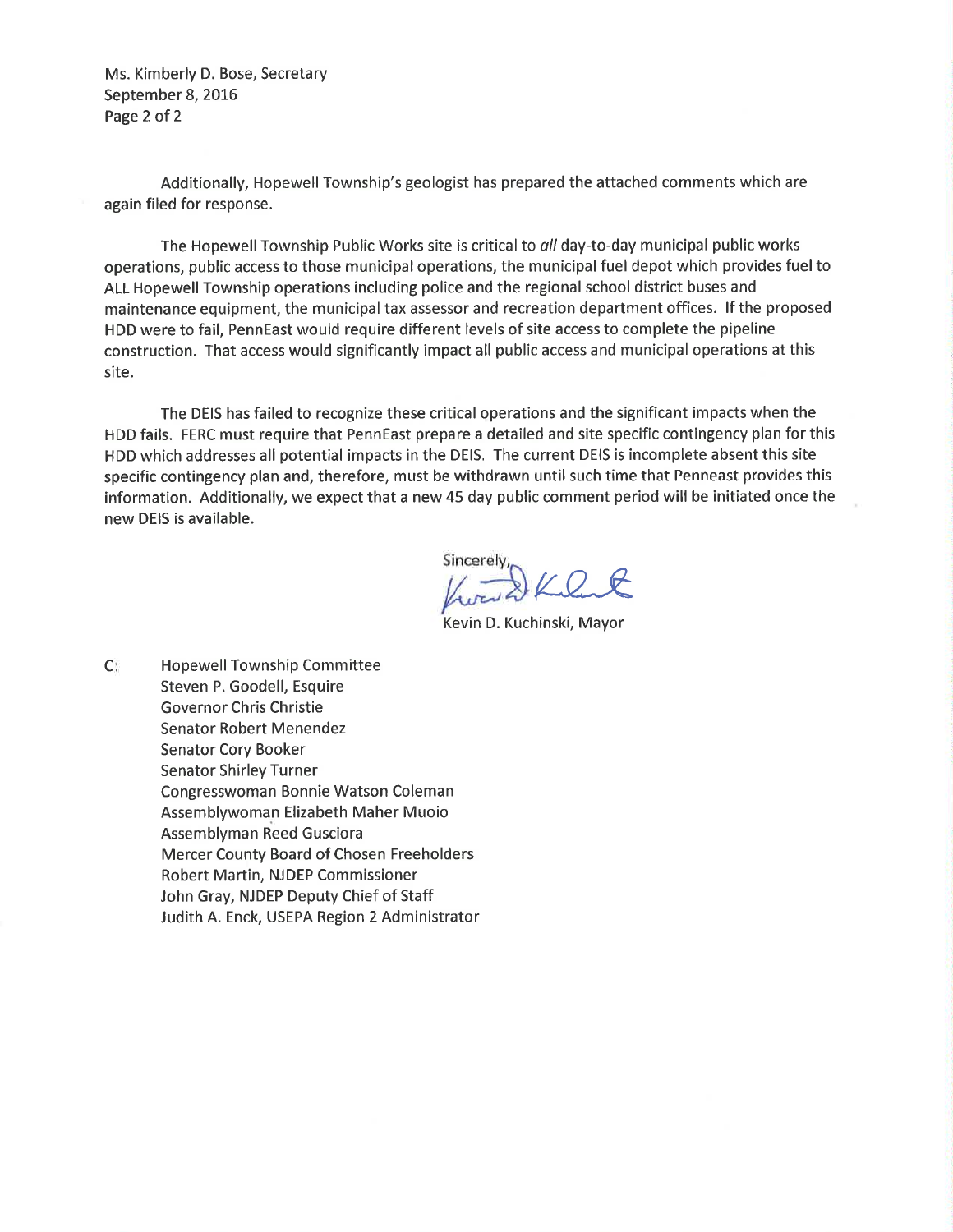Ms. Kimberly D. Bose, Secretary September 8, 2016 Page 2 of 2

Additionally, Hopewell Township's geologist has prepared the attached comments which are again filed for response.

The Hopewell Township Public Works site is critical to all day-to-day municipal public works operations, public access to those municipal operations, the municipal fuel depot which provides fuel to ALL Hopewell Township operations including police and the regional school district buses and maintenance equipment, the municipal tax assessor and recreation department offices. If the proposed HDD were to fail, PennEast would require different levels of site access to complete the pipeline construction. That access would significantly impact all public access and municipal operations at this site.

The DEIS has failed to recognize these critical operations and the significant impacts when the HDD fails. FERC must require that PennEast prepare a detailed and site specific contingency plan for this HDD which addresses all potential impacts in the DEIS. The current DEIS is incomplete absent this site specific contingency plan and, therefore, must be withdrawn until such time that Penneast provides this information. Additionally, we expect that a new 45 day public comment period will be initiated once the new DEIS is available.

Sincerely,<br> $\sqrt{2\pi}$ 

Kevin D. Kuchinski, Mayor

 $C^*$ **Hopewell Township Committee** Steven P. Goodell, Esquire **Governor Chris Christie Senator Robert Menendez Senator Cory Booker Senator Shirley Turner** Congresswoman Bonnie Watson Coleman Assemblywoman Elizabeth Maher Muoio Assemblyman Reed Gusciora **Mercer County Board of Chosen Freeholders** Robert Martin, NJDEP Commissioner John Gray, NJDEP Deputy Chief of Staff Judith A. Enck, USEPA Region 2 Administrator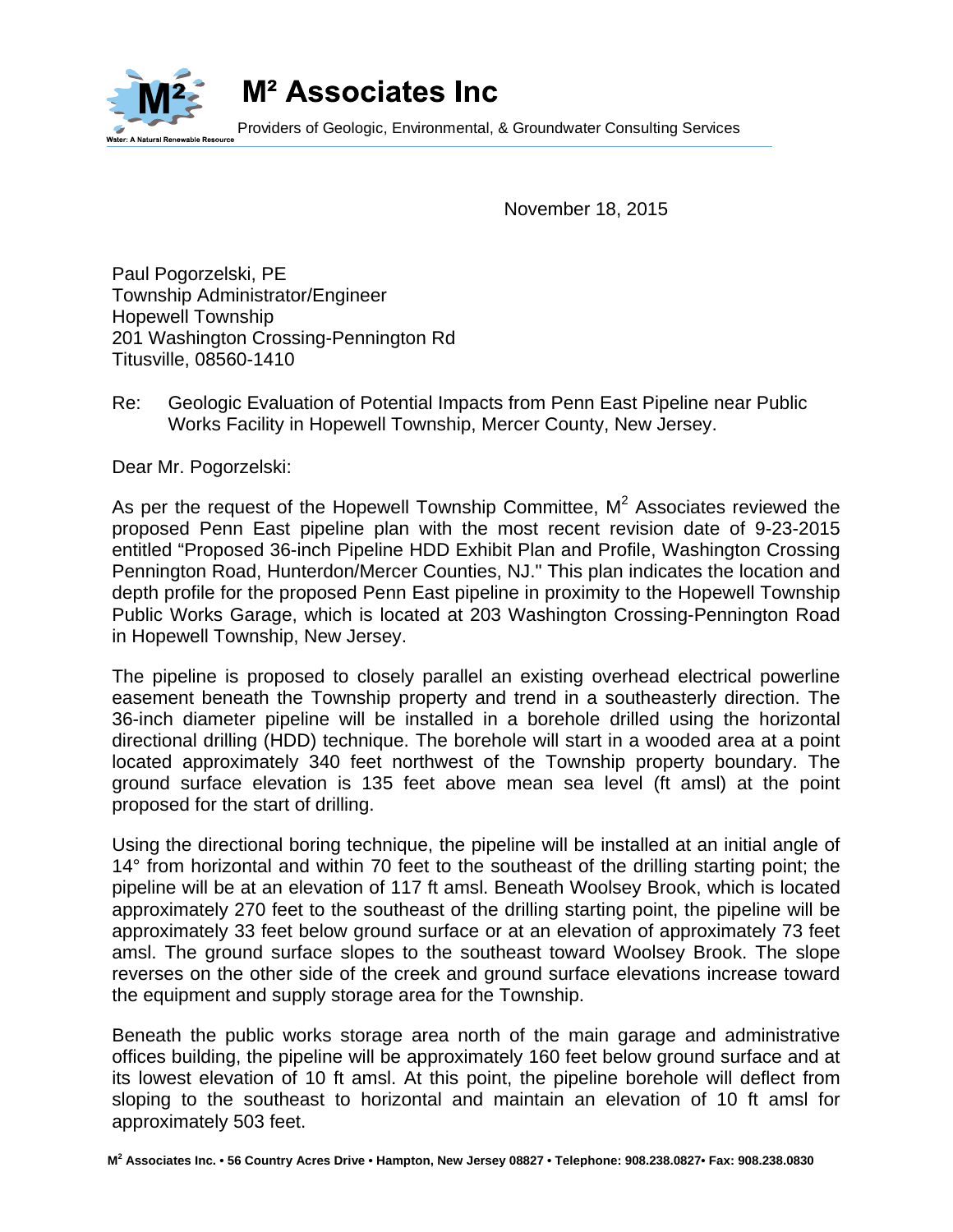

M<sup>2</sup> Associates Inc

Providers of Geologic, Environmental, & Groundwater Consulting Services

November 18, 2015

Paul Pogorzelski, PE Township Administrator/Engineer Hopewell Township 201 Washington Crossing-Pennington Rd Titusville, 08560-1410

Re: Geologic Evaluation of Potential Impacts from Penn East Pipeline near Public Works Facility in Hopewell Township, Mercer County, New Jersey.

Dear Mr. Pogorzelski:

As per the request of the Hopewell Township Committee,  $M^2$  Associates reviewed the proposed Penn East pipeline plan with the most recent revision date of 9-23-2015 entitled "Proposed 36-inch Pipeline HDD Exhibit Plan and Profile, Washington Crossing Pennington Road, Hunterdon/Mercer Counties, NJ." This plan indicates the location and depth profile for the proposed Penn East pipeline in proximity to the Hopewell Township Public Works Garage, which is located at 203 Washington Crossing-Pennington Road in Hopewell Township, New Jersey.

The pipeline is proposed to closely parallel an existing overhead electrical powerline easement beneath the Township property and trend in a southeasterly direction. The 36-inch diameter pipeline will be installed in a borehole drilled using the horizontal directional drilling (HDD) technique. The borehole will start in a wooded area at a point located approximately 340 feet northwest of the Township property boundary. The ground surface elevation is 135 feet above mean sea level (ft amsl) at the point proposed for the start of drilling.

Using the directional boring technique, the pipeline will be installed at an initial angle of 14° from horizontal and within 70 feet to the southeast of the drilling starting point; the pipeline will be at an elevation of 117 ft amsl. Beneath Woolsey Brook, which is located approximately 270 feet to the southeast of the drilling starting point, the pipeline will be approximately 33 feet below ground surface or at an elevation of approximately 73 feet amsl. The ground surface slopes to the southeast toward Woolsey Brook. The slope reverses on the other side of the creek and ground surface elevations increase toward the equipment and supply storage area for the Township.

Beneath the public works storage area north of the main garage and administrative offices building, the pipeline will be approximately 160 feet below ground surface and at its lowest elevation of 10 ft amsl. At this point, the pipeline borehole will deflect from sloping to the southeast to horizontal and maintain an elevation of 10 ft amsl for approximately 503 feet.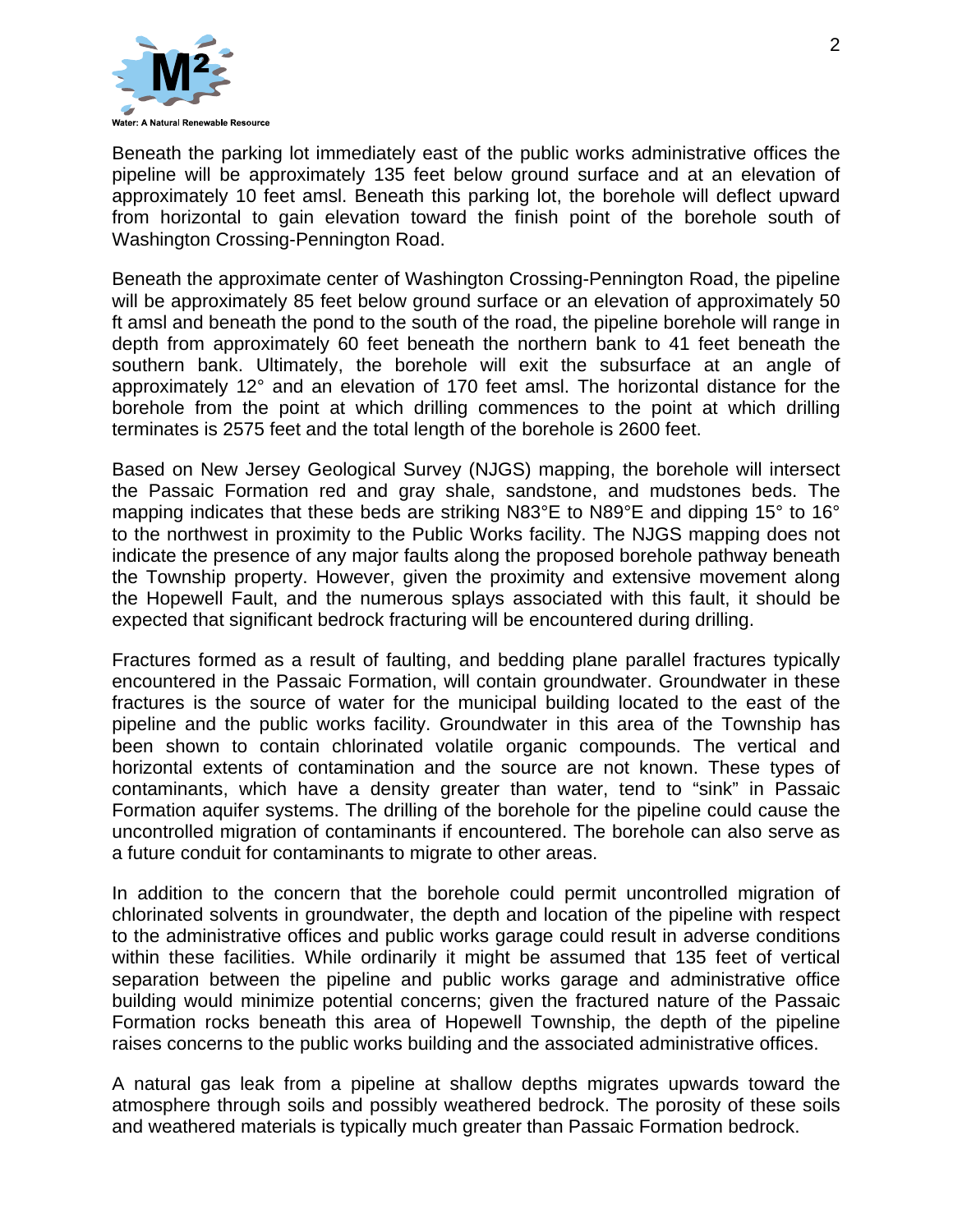

Beneath the parking lot immediately east of the public works administrative offices the pipeline will be approximately 135 feet below ground surface and at an elevation of approximately 10 feet amsl. Beneath this parking lot, the borehole will deflect upward from horizontal to gain elevation toward the finish point of the borehole south of Washington Crossing-Pennington Road.

Beneath the approximate center of Washington Crossing-Pennington Road, the pipeline will be approximately 85 feet below ground surface or an elevation of approximately 50 ft amsl and beneath the pond to the south of the road, the pipeline borehole will range in depth from approximately 60 feet beneath the northern bank to 41 feet beneath the southern bank. Ultimately, the borehole will exit the subsurface at an angle of approximately 12° and an elevation of 170 feet amsl. The horizontal distance for the borehole from the point at which drilling commences to the point at which drilling terminates is 2575 feet and the total length of the borehole is 2600 feet.

Based on New Jersey Geological Survey (NJGS) mapping, the borehole will intersect the Passaic Formation red and gray shale, sandstone, and mudstones beds. The mapping indicates that these beds are striking N83°E to N89°E and dipping 15° to 16° to the northwest in proximity to the Public Works facility. The NJGS mapping does not indicate the presence of any major faults along the proposed borehole pathway beneath the Township property. However, given the proximity and extensive movement along the Hopewell Fault, and the numerous splays associated with this fault, it should be expected that significant bedrock fracturing will be encountered during drilling.

Fractures formed as a result of faulting, and bedding plane parallel fractures typically encountered in the Passaic Formation, will contain groundwater. Groundwater in these fractures is the source of water for the municipal building located to the east of the pipeline and the public works facility. Groundwater in this area of the Township has been shown to contain chlorinated volatile organic compounds. The vertical and horizontal extents of contamination and the source are not known. These types of contaminants, which have a density greater than water, tend to "sink" in Passaic Formation aquifer systems. The drilling of the borehole for the pipeline could cause the uncontrolled migration of contaminants if encountered. The borehole can also serve as a future conduit for contaminants to migrate to other areas.

In addition to the concern that the borehole could permit uncontrolled migration of chlorinated solvents in groundwater, the depth and location of the pipeline with respect to the administrative offices and public works garage could result in adverse conditions within these facilities. While ordinarily it might be assumed that 135 feet of vertical separation between the pipeline and public works garage and administrative office building would minimize potential concerns; given the fractured nature of the Passaic Formation rocks beneath this area of Hopewell Township, the depth of the pipeline raises concerns to the public works building and the associated administrative offices.

A natural gas leak from a pipeline at shallow depths migrates upwards toward the atmosphere through soils and possibly weathered bedrock. The porosity of these soils and weathered materials is typically much greater than Passaic Formation bedrock.